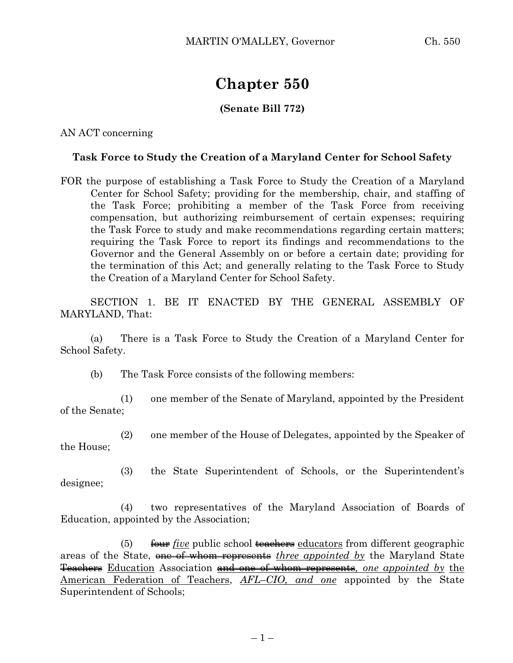## **Chapter 550**

## **(Senate Bill 772)**

AN ACT concerning

## **Task Force to Study the Creation of a Maryland Center for School Safety**

FOR the purpose of establishing a Task Force to Study the Creation of a Maryland Center for School Safety; providing for the membership, chair, and staffing of the Task Force; prohibiting a member of the Task Force from receiving compensation, but authorizing reimbursement of certain expenses; requiring the Task Force to study and make recommendations regarding certain matters; requiring the Task Force to report its findings and recommendations to the Governor and the General Assembly on or before a certain date; providing for the termination of this Act; and generally relating to the Task Force to Study the Creation of a Maryland Center for School Safety.

SECTION 1. BE IT ENACTED BY THE GENERAL ASSEMBLY OF MARYLAND, That:

(a) There is a Task Force to Study the Creation of a Maryland Center for School Safety.

(b) The Task Force consists of the following members:

(1) one member of the Senate of Maryland, appointed by the President of the Senate;

(2) one member of the House of Delegates, appointed by the Speaker of the House;

(3) the State Superintendent of Schools, or the Superintendent's designee;

(4) two representatives of the Maryland Association of Boards of Education, appointed by the Association;

(5) four *five* public school teachers educators from different geographic areas of the State, one of whom represents *three appointed by* the Maryland State Teachers Education Association and one of whom represents*, one appointed by* the American Federation of Teachers, *AFL–CIO, and one* appointed by the State Superintendent of Schools;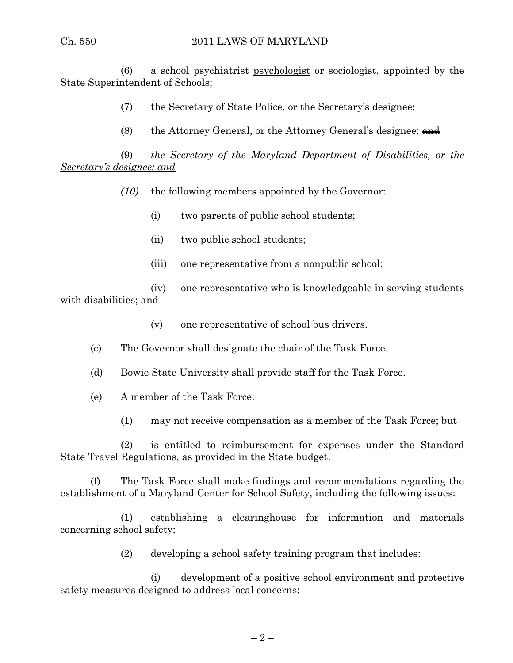(6) a school  $\frac{1}{1}$  a set is  $\frac{1}{1}$  a set is a psychologist or sociologist, appointed by the State Superintendent of Schools;

(7) the Secretary of State Police, or the Secretary's designee;

(8) the Attorney General, or the Attorney General's designee;  $\frac{d}{dt}$ 

(9) *the Secretary of the Maryland Department of Disabilities, or the Secretary's designee; and*

*(10)* the following members appointed by the Governor:

- (i) two parents of public school students;
- (ii) two public school students;
- (iii) one representative from a nonpublic school;

(iv) one representative who is knowledgeable in serving students with disabilities; and

(v) one representative of school bus drivers.

- (c) The Governor shall designate the chair of the Task Force.
- (d) Bowie State University shall provide staff for the Task Force.
- (e) A member of the Task Force:
	- (1) may not receive compensation as a member of the Task Force; but

(2) is entitled to reimbursement for expenses under the Standard State Travel Regulations, as provided in the State budget.

(f) The Task Force shall make findings and recommendations regarding the establishment of a Maryland Center for School Safety, including the following issues:

(1) establishing a clearinghouse for information and materials concerning school safety;

(2) developing a school safety training program that includes:

(i) development of a positive school environment and protective safety measures designed to address local concerns;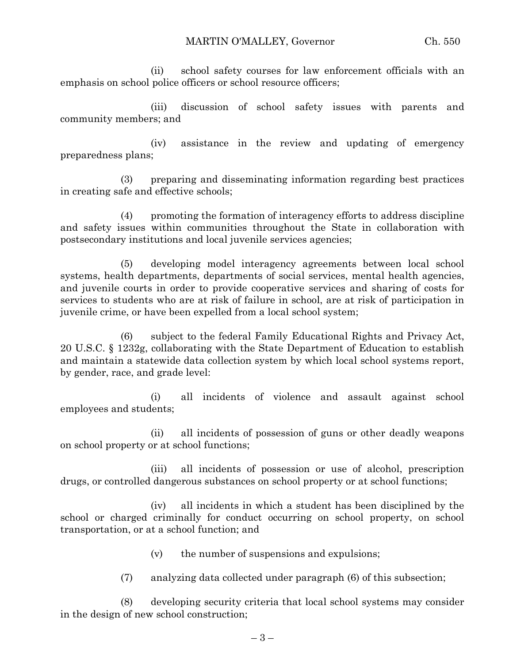(ii) school safety courses for law enforcement officials with an emphasis on school police officers or school resource officers;

(iii) discussion of school safety issues with parents and community members; and

(iv) assistance in the review and updating of emergency preparedness plans;

(3) preparing and disseminating information regarding best practices in creating safe and effective schools;

(4) promoting the formation of interagency efforts to address discipline and safety issues within communities throughout the State in collaboration with postsecondary institutions and local juvenile services agencies;

(5) developing model interagency agreements between local school systems, health departments, departments of social services, mental health agencies, and juvenile courts in order to provide cooperative services and sharing of costs for services to students who are at risk of failure in school, are at risk of participation in juvenile crime, or have been expelled from a local school system;

(6) subject to the federal Family Educational Rights and Privacy Act, 20 U.S.C. § 1232g, collaborating with the State Department of Education to establish and maintain a statewide data collection system by which local school systems report, by gender, race, and grade level:

(i) all incidents of violence and assault against school employees and students;

(ii) all incidents of possession of guns or other deadly weapons on school property or at school functions;

(iii) all incidents of possession or use of alcohol, prescription drugs, or controlled dangerous substances on school property or at school functions;

(iv) all incidents in which a student has been disciplined by the school or charged criminally for conduct occurring on school property, on school transportation, or at a school function; and

- (v) the number of suspensions and expulsions;
- (7) analyzing data collected under paragraph (6) of this subsection;

(8) developing security criteria that local school systems may consider in the design of new school construction;